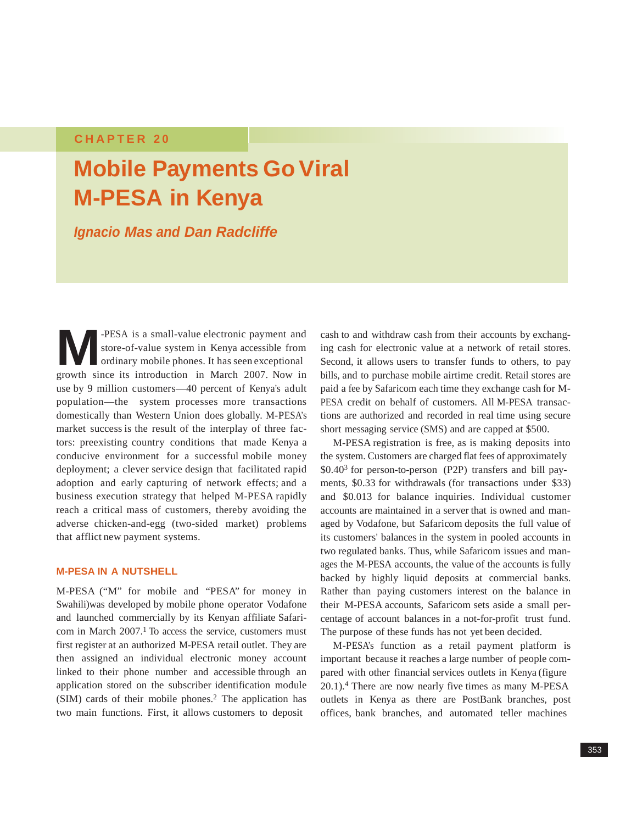## **CHAPTE R 2 0**

# **Mobile Payments Go Viral M-PESA in Kenya**

*Ignacio Mas and Dan Radcliffe*

**M** -PESA is a small-value electronic payment and store-of-value system in Kenya accessible from ordinary mobile phones. It has seen exceptional growth since its introduction in March 2007. Now in -PESA is a small-value electronic payment and store-of-value system in Kenya accessible from ordinary mobile phones. It has seen exceptional use by 9 million customers—40 percent of Kenya's adult population—the system processes more transactions domestically than Western Union does globally. M-PESA's market success is the result of the interplay of three factors: preexisting country conditions that made Kenya a conducive environment for a successful mobile money deployment; a clever service design that facilitated rapid adoption and early capturing of network effects; and a business execution strategy that helped M-PESA rapidly reach a critical mass of customers, thereby avoiding the adverse chicken-and-egg (two-sided market) problems that afflict new payment systems.

## **M-PESA IN A NUTSHELL**

M-PESA ("M" for mobile and "PESA" for money in Swahili)was developed by mobile phone operator Vodafone and launched commercially by its Kenyan affiliate Safaricom in March  $2007<sup>1</sup>$  To access the service, customers must first register at an authorized M-PESA retail outlet. They are then assigned an individual electronic money account linked to their phone number and accessible through an application stored on the subscriber identification module (SIM) cards of their mobile phones.2 The application has two main functions. First, it allows customers to deposit

cash to and withdraw cash from their accounts by exchanging cash for electronic value at a network of retail stores. Second, it allows users to transfer funds to others, to pay bills, and to purchase mobile airtime credit. Retail stores are paid a fee by Safaricom each time they exchange cash for M-PESA credit on behalf of customers. All M-PESA transactions are authorized and recorded in real time using secure short messaging service (SMS) and are capped at \$500.

M-PESA registration is free, as is making deposits into the system. Customers are charged flat fees of approximately \$0.403 for person-to-person (P2P) transfers and bill payments, \$0.33 for withdrawals (for transactions under \$33) and \$0.013 for balance inquiries. Individual customer accounts are maintained in a server that is owned and managed by Vodafone, but Safaricom deposits the full value of its customers' balances in the system in pooled accounts in two regulated banks. Thus, while Safaricom issues and manages the M-PESA accounts, the value of the accounts is fully backed by highly liquid deposits at commercial banks. Rather than paying customers interest on the balance in their M-PESA accounts, Safaricom sets aside a small percentage of account balances in a not-for-profit trust fund. The purpose of these funds has not yet been decided.

M-PESA's function as a retail payment platform is important because it reaches a large number of people compared with other financial services outlets in Kenya (figure 20.1).4 There are now nearly five times as many M-PESA outlets in Kenya as there are PostBank branches, post offices, bank branches, and automated teller machines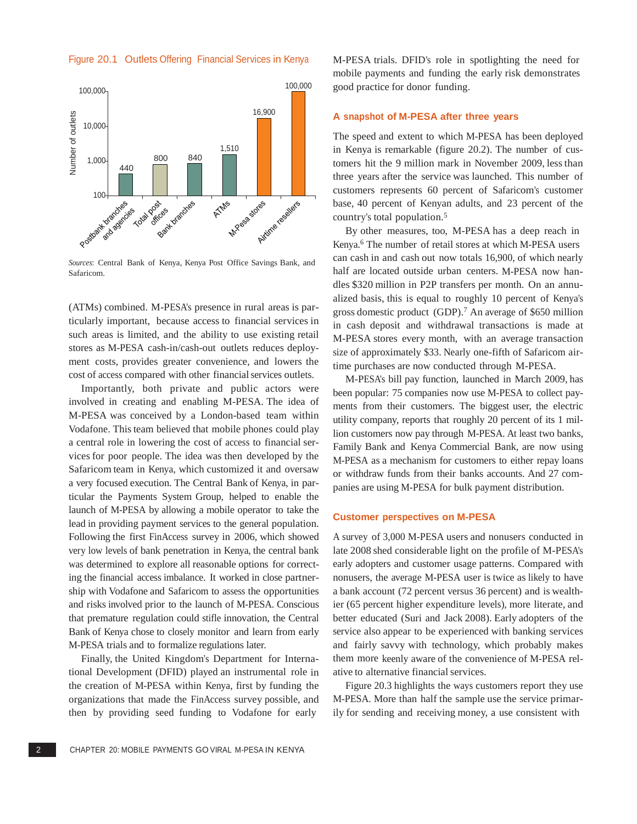

*Sources*: Central Bank of Kenya, Kenya Post Office Savings Bank, and Safaricom.

(ATMs) combined. M-PESA's presence in rural areas is particularly important, because access to financial services in such areas is limited, and the ability to use existing retail stores as M-PESA cash-in/cash-out outlets reduces deployment costs, provides greater convenience, and lowers the cost of access compared with other financial services outlets.

2 (1,000)<br>
2 (1,000)<br>
2 (1,000)<br>
2 (1,000)<br>
2 (1,000)<br>
2 (1,000)<br>
2 (1,000)<br>
2 (1,000)<br>
3 (1,000)<br>
2 (1,000)<br>
2 (1,000)<br>
2 (1,000)<br>
2 (1,000)<br>
2 (1,000)<br>
2 (1,000)<br>
2 (1,000)<br>
2 (1,000)<br>
2 (1,000)<br>
2 (1,000)<br>
2 (1,000)<br> Importantly, both private and public actors were involved in creating and enabling M-PESA. The idea of M-PESA was conceived by a London-based team within Vodafone. This team believed that mobile phones could play a central role in lowering the cost of access to financial services for poor people. The idea was then developed by the Safaricom team in Kenya, which customized it and oversaw a very focused execution. The Central Bank of Kenya, in particular the Payments System Group, helped to enable the launch of M-PESA by allowing a mobile operator to take the lead in providing payment services to the general population. Following the first FinAccess survey in 2006, which showed very low levels of bank penetration in Kenya, the central bank was determined to explore all reasonable options for correcting the financial access imbalance. It worked in close partnership with Vodafone and Safaricom to assess the opportunities and risks involved prior to the launch of M-PESA. Conscious that premature regulation could stifle innovation, the Central Bank of Kenya chose to closely monitor and learn from early M-PESA trials and to formalize regulations later.

Finally, the United Kingdom's Department for International Development (DFID) played an instrumental role in the creation of M-PESA within Kenya, first by funding the organizations that made the FinAccess survey possible, and then by providing seed funding to Vodafone for early

Figure 20.1 Outlets Offering Financial Services in Kenya M-PESA trials. DFID's role in spotlighting the need for mobile payments and funding the early risk demonstrates 100,000 good practice for donor funding.

#### **A snapshot of M-PESA after three years**

The speed and extent to which M-PESA has been deployed in Kenya is remarkable (figure 20.2). The number of customers hit the 9 million mark in November 2009, lessthan three years after the service was launched. This number of customers represents 60 percent of Safaricom's customer base, 40 percent of Kenyan adults, and 23 percent of the country's total population.5

By other measures, too, M-PESA has a deep reach in Kenya.<sup>6</sup> The number of retail stores at which M-PESA users can cash in and cash out now totals 16,900, of which nearly half are located outside urban centers. M-PESA now handles \$320 million in P2P transfers per month. On an annualized basis, this is equal to roughly 10 percent of Kenya's gross domestic product (GDP). <sup>7</sup> An average of \$650 million in cash deposit and withdrawal transactions is made at M-PESA stores every month, with an average transaction size of approximately \$33. Nearly one-fifth of Safaricom airtime purchases are now conducted through M-PESA.

M-PESA's bill pay function, launched in March 2009, has been popular: 75 companies now use M-PESA to collect payments from their customers. The biggest user, the electric utility company, reports that roughly 20 percent of its 1 million customers now pay through M-PESA. At least two banks, Family Bank and Kenya Commercial Bank, are now using M-PESA as a mechanism for customers to either repay loans or withdraw funds from their banks accounts. And 27 companies are using M-PESA for bulk payment distribution.

## **Customer perspectives on M-PESA**

A survey of 3,000 M-PESA users and nonusers conducted in late 2008 shed considerable light on the profile of M-PESA's early adopters and customer usage patterns. Compared with nonusers, the average M-PESA user is twice as likely to have a bank account (72 percent versus 36 percent) and is wealthier (65 percent higher expenditure levels), more literate, and better educated (Suri and Jack 2008). Early adopters of the service also appear to be experienced with banking services and fairly savvy with technology, which probably makes them more keenly aware of the convenience of M-PESA relative to alternative financialservices.

Figure 20.3 highlights the ways customers report they use M-PESA. More than half the sample use the service primarily for sending and receiving money, a use consistent with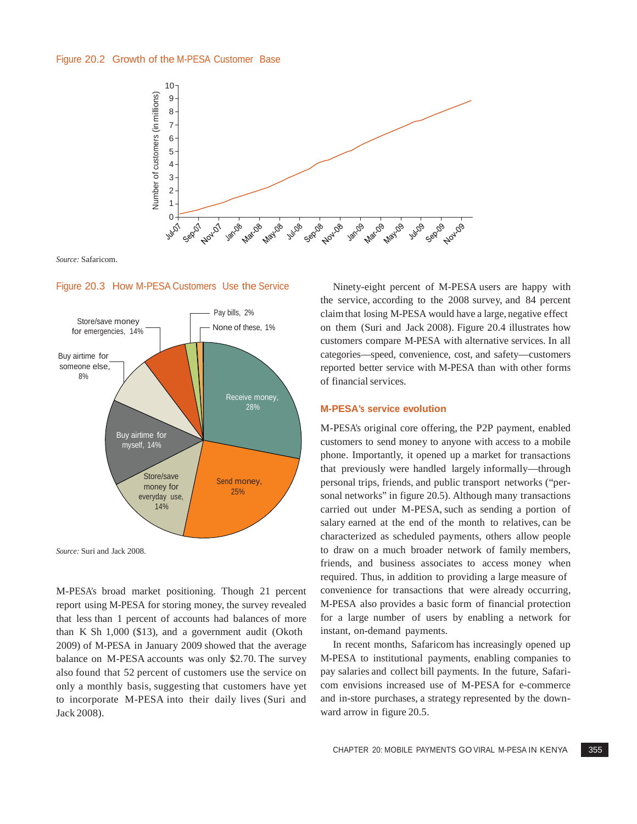#### Figure 20.2 Growth of the M-PESA Customer Base



*Source:* Safaricom.



Figure 20.3 How M-PESA Customers Use the Service

*Source:* Suri and Jack 2008.

M-PESA's broad market positioning. Though 21 percent report using M-PESA for storing money, the survey revealed that less than 1 percent of accounts had balances of more than K Sh 1,000 (\$13), and a government audit (Okoth 2009) of M-PESA in January 2009 showed that the average balance on M-PESA accounts was only \$2.70. The survey also found that 52 percent of customers use the service on only a monthly basis, suggesting that customers have yet to incorporate M-PESA into their daily lives (Suri and Jack 2008).

Ninety-eight percent of M-PESA users are happy with the service, according to the 2008 survey, and 84 percent claimthat losing M-PESA would have a large, negative effect on them (Suri and Jack 2008). Figure 20.4 illustrates how customers compare M-PESA with alternative services. In all categories—speed, convenience, cost, and safety—customers reported better service with M-PESA than with other forms of financial services.

#### **M-PESA's service evolution**

M-PESA's original core offering, the P2P payment, enabled customers to send money to anyone with access to a mobile phone. Importantly, it opened up a market for transactions that previously were handled largely informally—through personal trips, friends, and public transport networks ("personal networks" in figure 20.5). Although many transactions carried out under M-PESA, such as sending a portion of salary earned at the end of the month to relatives, can be characterized as scheduled payments, others allow people to draw on a much broader network of family members, friends, and business associates to access money when required. Thus, in addition to providing a large measure of convenience for transactions that were already occurring, M-PESA also provides a basic form of financial protection for a large number of users by enabling a network for instant, on-demand payments.

In recent months, Safaricom has increasingly opened up M-PESA to institutional payments, enabling companies to pay salaries and collect bill payments. In the future, Safaricom envisions increased use of M-PESA for e-commerce and in-store purchases, a strategy represented by the downward arrow in figure 20.5.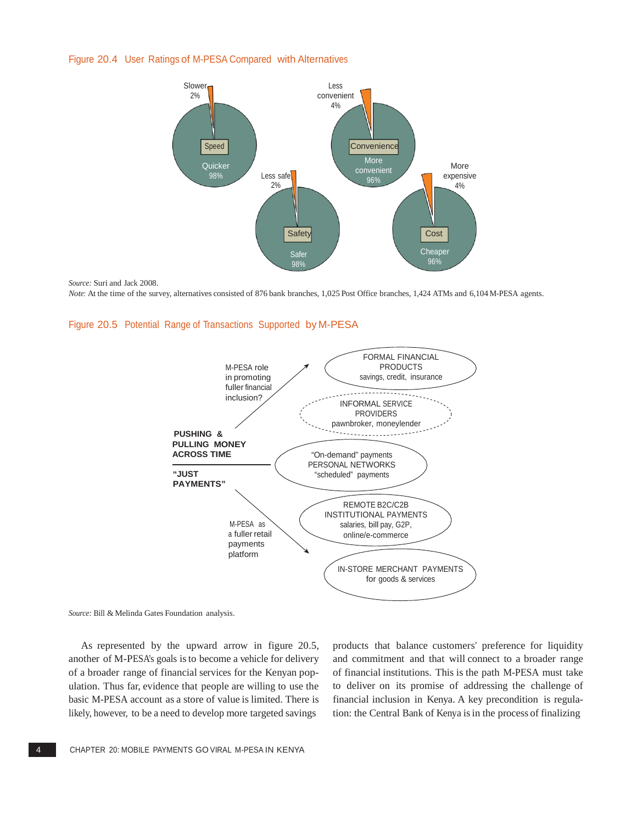#### Figure 20.4 User Ratings of M-PESA Compared with Alternatives



*Source:* Suri and Jack 2008. *Note:* At the time of the survey, alternatives consisted of 876 bank branches, 1,025 Post Office branches, 1,424 ATMs and 6,104 M-PESA agents.

Figure 20.5 Potential Range of Transactions Supported by M-PESA





As represented by the upward arrow in figure 20.5, another of M-PESA's goals isto become a vehicle for delivery of a broader range of financial services for the Kenyan population. Thus far, evidence that people are willing to use the basic M-PESA account as a store of value is limited. There is likely, however, to be a need to develop more targeted savings

products that balance customers' preference for liquidity and commitment and that will connect to a broader range of financial institutions. This is the path M-PESA must take to deliver on its promise of addressing the challenge of financial inclusion in Kenya. A key precondition is regulation: the Central Bank of Kenya isin the process of finalizing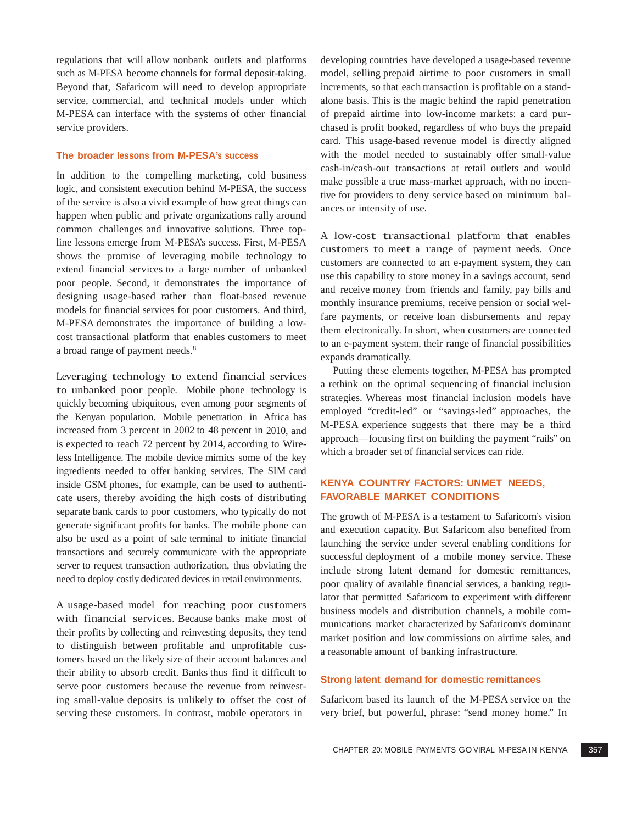regulations that will allow nonbank outlets and platforms such as M-PESA become channels for formal deposit-taking. Beyond that, Safaricom will need to develop appropriate service, commercial, and technical models under which M-PESA can interface with the systems of other financial service providers.

#### **The broader lessons from M-PESA's success**

In addition to the compelling marketing, cold business logic, and consistent execution behind M-PESA, the success of the service is also a vivid example of how great things can happen when public and private organizations rally around common challenges and innovative solutions. Three topline lessons emerge from M-PESA's success. First, M-PESA shows the promise of leveraging mobile technology to extend financial services to a large number of unbanked poor people. Second, it demonstrates the importance of designing usage-based rather than float-based revenue models for financial services for poor customers. And third, M-PESA demonstrates the importance of building a lowcost transactional platform that enables customers to meet a broad range of payment needs.8

Leveraging technology to extend financial services to unbanked poor people. Mobile phone technology is quickly becoming ubiquitous, even among poor segments of the Kenyan population. Mobile penetration in Africa has increased from 3 percent in 2002 to 48 percent in 2010, and is expected to reach 72 percent by 2014, according to Wireless Intelligence. The mobile device mimics some of the key ingredients needed to offer banking services. The SIM card inside GSM phones, for example, can be used to authenticate users, thereby avoiding the high costs of distributing separate bank cards to poor customers, who typically do not generate significant profits for banks. The mobile phone can also be used as a point of sale terminal to initiate financial transactions and securely communicate with the appropriate server to request transaction authorization, thus obviating the need to deploy costly dedicated devices in retail environments.

<sup>A</sup> usage-based model for reaching poor customers with financial services. Because banks make most of their profits by collecting and reinvesting deposits, they tend to distinguish between profitable and unprofitable customers based on the likely size of their account balances and their ability to absorb credit. Banks thus find it difficult to serve poor customers because the revenue from reinvesting small-value deposits is unlikely to offset the cost of serving these customers. In contrast, mobile operators in

developing countries have developed a usage-based revenue model, selling prepaid airtime to poor customers in small increments, so that each transaction is profitable on a standalone basis. This is the magic behind the rapid penetration of prepaid airtime into low-income markets: a card purchased is profit booked, regardless of who buys the prepaid card. This usage-based revenue model is directly aligned with the model needed to sustainably offer small-value cash-in/cash-out transactions at retail outlets and would make possible a true mass-market approach, with no incentive for providers to deny service based on minimum balances or intensity of use.

<sup>A</sup> low-cost transactional platform that enables customers to meet <sup>a</sup> range of payment needs. Once customers are connected to an e-payment system, they can use this capability to store money in a savings account, send and receive money from friends and family, pay bills and monthly insurance premiums, receive pension or social welfare payments, or receive loan disbursements and repay them electronically. In short, when customers are connected to an e-payment system, their range of financial possibilities expands dramatically.

Putting these elements together, M-PESA has prompted a rethink on the optimal sequencing of financial inclusion strategies. Whereas most financial inclusion models have employed "credit-led" or "savings-led" approaches, the M-PESA experience suggests that there may be a third approach—focusing first on building the payment "rails" on which a broader set of financial services can ride.

## **KENYA COUNTRY FACTORS: UNMET NEEDS, FAVORABLE MARKET CONDITIONS**

The growth of M-PESA is a testament to Safaricom's vision and execution capacity. But Safaricom also benefited from launching the service under several enabling conditions for successful deployment of a mobile money service. These include strong latent demand for domestic remittances, poor quality of available financial services, a banking regulator that permitted Safaricom to experiment with different business models and distribution channels, a mobile communications market characterized by Safaricom's dominant market position and low commissions on airtime sales, and a reasonable amount of banking infrastructure.

## **Strong latent demand for domestic remittances**

Safaricom based its launch of the M-PESA service on the very brief, but powerful, phrase: "send money home." In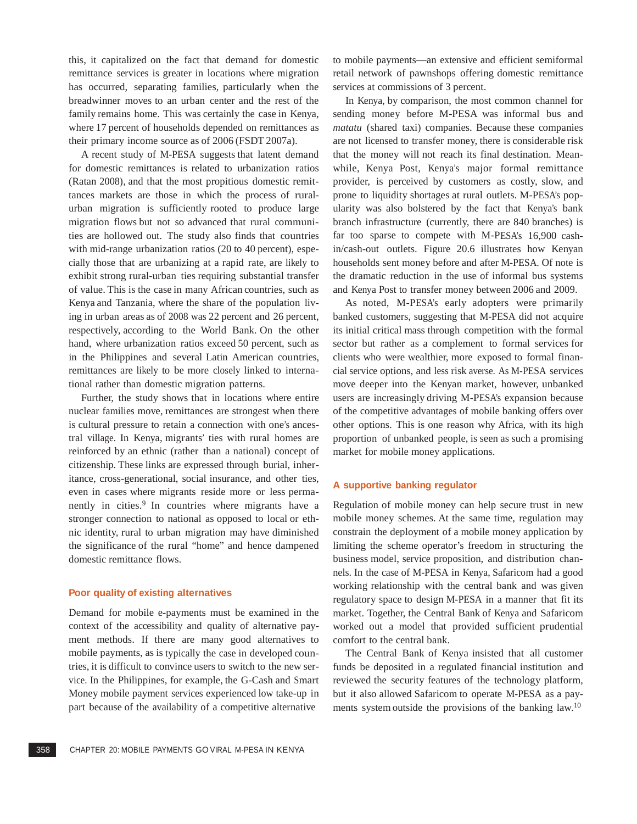this, it capitalized on the fact that demand for domestic remittance services is greater in locations where migration has occurred, separating families, particularly when the breadwinner moves to an urban center and the rest of the family remains home. This was certainly the case in Kenya, where 17 percent of households depended on remittances as their primary income source as of 2006 (FSDT 2007a).

A recent study of M-PESA suggests that latent demand for domestic remittances is related to urbanization ratios (Ratan 2008), and that the most propitious domestic remittances markets are those in which the process of ruralurban migration is sufficiently rooted to produce large migration flows but not so advanced that rural communities are hollowed out. The study also finds that countries with mid-range urbanization ratios (20 to 40 percent), especially those that are urbanizing at a rapid rate, are likely to exhibit strong rural-urban ties requiring substantial transfer of value. This is the case in many African countries, such as Kenya and Tanzania, where the share of the population living in urban areas as of 2008 was 22 percent and 26 percent, respectively, according to the World Bank. On the other hand, where urbanization ratios exceed 50 percent, such as in the Philippines and several Latin American countries, remittances are likely to be more closely linked to international rather than domestic migration patterns.

Further, the study shows that in locations where entire nuclear families move, remittances are strongest when there is cultural pressure to retain a connection with one's ancestral village. In Kenya, migrants' ties with rural homes are reinforced by an ethnic (rather than a national) concept of citizenship. These links are expressed through burial, inheritance, cross-generational, social insurance, and other ties, even in cases where migrants reside more or less permanently in cities.<sup>9</sup> In countries where migrants have a stronger connection to national as opposed to local or ethnic identity, rural to urban migration may have diminished the significance of the rural "home" and hence dampened domestic remittance flows.

#### **Poor quality of existing alternatives**

Demand for mobile e-payments must be examined in the context of the accessibility and quality of alternative payment methods. If there are many good alternatives to mobile payments, as is typically the case in developed countries, it is difficult to convince users to switch to the new service. In the Philippines, for example, the G-Cash and Smart Money mobile payment services experienced low take-up in part because of the availability of a competitive alternative

to mobile payments—an extensive and efficient semiformal retail network of pawnshops offering domestic remittance services at commissions of 3 percent.

In Kenya, by comparison, the most common channel for sending money before M-PESA was informal bus and *matatu* (shared taxi) companies. Because these companies are not licensed to transfer money, there is considerable risk that the money will not reach its final destination. Meanwhile, Kenya Post, Kenya's major formal remittance provider, is perceived by customers as costly, slow, and prone to liquidity shortages at rural outlets. M-PESA's popularity was also bolstered by the fact that Kenya's bank branch infrastructure (currently, there are 840 branches) is far too sparse to compete with M-PESA's 16,900 cashin/cash-out outlets. Figure 20.6 illustrates how Kenyan households sent money before and after M-PESA. Of note is the dramatic reduction in the use of informal bus systems and Kenya Post to transfer money between 2006 and 2009.

As noted, M-PESA's early adopters were primarily banked customers, suggesting that M-PESA did not acquire its initial critical mass through competition with the formal sector but rather as a complement to formal services for clients who were wealthier, more exposed to formal financial service options, and less risk averse. As M-PESA services move deeper into the Kenyan market, however, unbanked users are increasingly driving M-PESA's expansion because of the competitive advantages of mobile banking offers over other options. This is one reason why Africa, with its high proportion of unbanked people, is seen as such a promising market for mobile money applications.

## **A supportive banking regulator**

Regulation of mobile money can help secure trust in new mobile money schemes. At the same time, regulation may constrain the deployment of a mobile money application by limiting the scheme operator's freedom in structuring the business model, service proposition, and distribution channels. In the case of M-PESA in Kenya, Safaricom had a good working relationship with the central bank and was given regulatory space to design M-PESA in a manner that fit its market. Together, the Central Bank of Kenya and Safaricom worked out a model that provided sufficient prudential comfort to the central bank.

The Central Bank of Kenya insisted that all customer funds be deposited in a regulated financial institution and reviewed the security features of the technology platform, but it also allowed Safaricom to operate M-PESA as a payments system outside the provisions of the banking law.<sup>10</sup>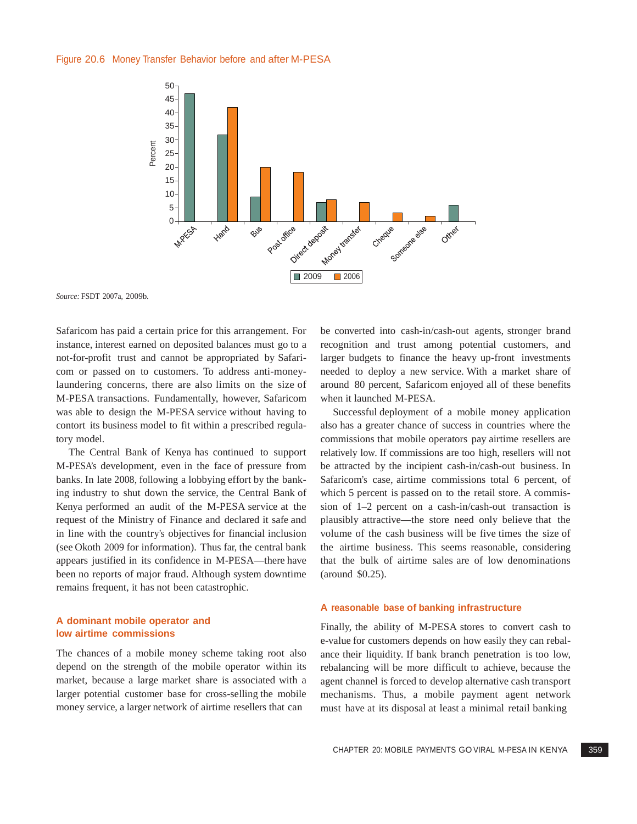#### Figure 20.6 Money Transfer Behavior before and after M-PESA



*Source:* FSDT 2007a, 2009b.

Safaricom has paid a certain price for this arrangement. For instance, interest earned on deposited balances must go to a not-for-profit trust and cannot be appropriated by Safaricom or passed on to customers. To address anti-moneylaundering concerns, there are also limits on the size of M-PESA transactions. Fundamentally, however, Safaricom was able to design the M-PESA service without having to contort its business model to fit within a prescribed regulatory model.

The Central Bank of Kenya has continued to support M-PESA's development, even in the face of pressure from banks. In late 2008, following a lobbying effort by the banking industry to shut down the service, the Central Bank of Kenya performed an audit of the M-PESA service at the request of the Ministry of Finance and declared it safe and in line with the country's objectives for financial inclusion (see Okoth 2009 for information). Thus far, the central bank appears justified in its confidence in M-PESA—there have been no reports of major fraud. Although system downtime remains frequent, it has not been catastrophic.

## **A dominant mobile operator and low airtime commissions**

The chances of a mobile money scheme taking root also depend on the strength of the mobile operator within its market, because a large market share is associated with a larger potential customer base for cross-selling the mobile money service, a larger network of airtime resellers that can

be converted into cash-in/cash-out agents, stronger brand recognition and trust among potential customers, and larger budgets to finance the heavy up-front investments needed to deploy a new service. With a market share of around 80 percent, Safaricom enjoyed all of these benefits when it launched M-PESA.

Successful deployment of a mobile money application also has a greater chance of success in countries where the commissions that mobile operators pay airtime resellers are relatively low. If commissions are too high, resellers will not be attracted by the incipient cash-in/cash-out business. In Safaricom's case, airtime commissions total 6 percent, of which 5 percent is passed on to the retail store. A commission of 1–2 percent on a cash-in/cash-out transaction is plausibly attractive—the store need only believe that the volume of the cash business will be five times the size of the airtime business. This seems reasonable, considering that the bulk of airtime sales are of low denominations (around \$0.25).

#### **A reasonable base of banking infrastructure**

Finally, the ability of M-PESA stores to convert cash to e-value for customers depends on how easily they can rebalance their liquidity. If bank branch penetration is too low, rebalancing will be more difficult to achieve, because the agent channel is forced to develop alternative cash transport mechanisms. Thus, a mobile payment agent network must have at its disposal at least a minimal retail banking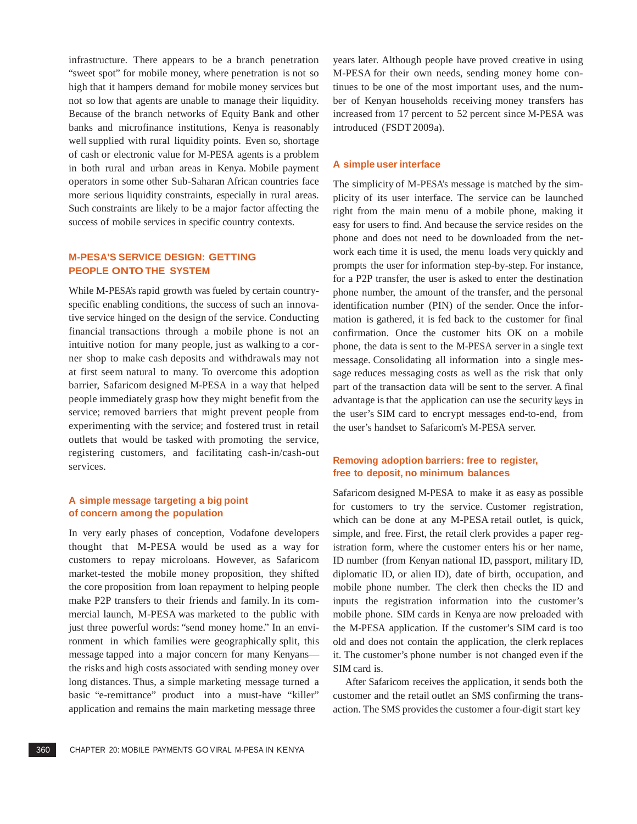infrastructure. There appears to be a branch penetration "sweet spot" for mobile money, where penetration is not so high that it hampers demand for mobile money services but not so low that agents are unable to manage their liquidity. Because of the branch networks of Equity Bank and other banks and microfinance institutions, Kenya is reasonably well supplied with rural liquidity points. Even so, shortage of cash or electronic value for M-PESA agents is a problem in both rural and urban areas in Kenya. Mobile payment operators in some other Sub-Saharan African countries face more serious liquidity constraints, especially in rural areas. Such constraints are likely to be a major factor affecting the success of mobile services in specific country contexts.

## **M-PESA'S SERVICE DESIGN: GETTING PEOPLE ONTO THE SYSTEM**

While M-PESA's rapid growth was fueled by certain countryspecific enabling conditions, the success of such an innovative service hinged on the design of the service. Conducting financial transactions through a mobile phone is not an intuitive notion for many people, just as walking to a corner shop to make cash deposits and withdrawals may not at first seem natural to many. To overcome this adoption barrier, Safaricom designed M-PESA in a way that helped people immediately grasp how they might benefit from the service; removed barriers that might prevent people from experimenting with the service; and fostered trust in retail outlets that would be tasked with promoting the service, registering customers, and facilitating cash-in/cash-out services.

## **A simple message targeting a big point of concern among the population**

In very early phases of conception, Vodafone developers thought that M-PESA would be used as a way for customers to repay microloans. However, as Safaricom market-tested the mobile money proposition, they shifted the core proposition from loan repayment to helping people make P2P transfers to their friends and family. In its commercial launch, M-PESA was marketed to the public with just three powerful words: "send money home." In an environment in which families were geographically split, this message tapped into a major concern for many Kenyans the risks and high costs associated with sending money over long distances. Thus, a simple marketing message turned a basic "e-remittance" product into a must-have "killer" application and remains the main marketing message three

years later. Although people have proved creative in using M-PESA for their own needs, sending money home continues to be one of the most important uses, and the number of Kenyan households receiving money transfers has increased from 17 percent to 52 percent since M-PESA was introduced (FSDT 2009a).

## **A simple user interface**

The simplicity of M-PESA's message is matched by the simplicity of its user interface. The service can be launched right from the main menu of a mobile phone, making it easy for users to find. And because the service resides on the phone and does not need to be downloaded from the network each time it is used, the menu loads very quickly and prompts the user for information step-by-step. For instance, for a P2P transfer, the user is asked to enter the destination phone number, the amount of the transfer, and the personal identification number (PIN) of the sender. Once the information is gathered, it is fed back to the customer for final confirmation. Once the customer hits OK on a mobile phone, the data is sent to the M-PESA server in a single text message. Consolidating all information into a single message reduces messaging costs as well as the risk that only part of the transaction data will be sent to the server. A final advantage is that the application can use the security keys in the user's SIM card to encrypt messages end-to-end, from the user's handset to Safaricom's M-PESA server.

## **Removing adoption barriers: free to register, free to deposit, no minimum balances**

Safaricom designed M-PESA to make it as easy as possible for customers to try the service. Customer registration, which can be done at any M-PESA retail outlet, is quick, simple, and free. First, the retail clerk provides a paper registration form, where the customer enters his or her name, ID number (from Kenyan national ID, passport, military ID, diplomatic ID, or alien ID), date of birth, occupation, and mobile phone number. The clerk then checks the ID and inputs the registration information into the customer's mobile phone. SIM cards in Kenya are now preloaded with the M-PESA application. If the customer's SIM card is too old and does not contain the application, the clerk replaces it. The customer's phone number is not changed even if the SIM card is.

After Safaricom receives the application, it sends both the customer and the retail outlet an SMS confirming the transaction. The SMS provides the customer a four-digit start key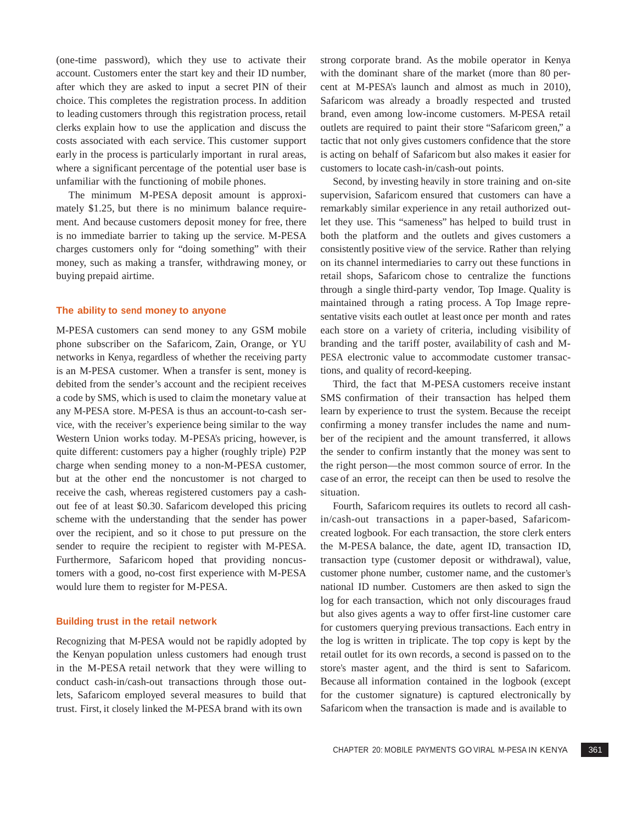(one-time password), which they use to activate their account. Customers enter the start key and their ID number, after which they are asked to input a secret PIN of their choice. This completes the registration process. In addition to leading customers through this registration process, retail clerks explain how to use the application and discuss the costs associated with each service. This customer support early in the process is particularly important in rural areas, where a significant percentage of the potential user base is unfamiliar with the functioning of mobile phones.

The minimum M-PESA deposit amount is approximately \$1.25, but there is no minimum balance requirement. And because customers deposit money for free, there is no immediate barrier to taking up the service. M-PESA charges customers only for "doing something" with their money, such as making a transfer, withdrawing money, or buying prepaid airtime.

#### **The ability to send money to anyone**

M-PESA customers can send money to any GSM mobile phone subscriber on the Safaricom, Zain, Orange, or YU networks in Kenya, regardless of whether the receiving party is an M-PESA customer. When a transfer is sent, money is debited from the sender's account and the recipient receives a code by SMS, which is used to claim the monetary value at any M-PESA store. M-PESA is thus an account-to-cash service, with the receiver's experience being similar to the way Western Union works today. M-PESA's pricing, however, is quite different: customers pay a higher (roughly triple) P2P charge when sending money to a non-M-PESA customer, but at the other end the noncustomer is not charged to receive the cash, whereas registered customers pay a cashout fee of at least \$0.30. Safaricom developed this pricing scheme with the understanding that the sender has power over the recipient, and so it chose to put pressure on the sender to require the recipient to register with M-PESA. Furthermore, Safaricom hoped that providing noncustomers with a good, no-cost first experience with M-PESA would lure them to register for M-PESA.

#### **Building trust in the retail network**

Recognizing that M-PESA would not be rapidly adopted by the Kenyan population unless customers had enough trust in the M-PESA retail network that they were willing to conduct cash-in/cash-out transactions through those outlets, Safaricom employed several measures to build that trust. First, it closely linked the M-PESA brand with its own

strong corporate brand. As the mobile operator in Kenya with the dominant share of the market (more than 80 percent at M-PESA's launch and almost as much in 2010), Safaricom was already a broadly respected and trusted brand, even among low-income customers. M-PESA retail outlets are required to paint their store "Safaricom green," a tactic that not only gives customers confidence that the store is acting on behalf of Safaricom but also makes it easier for customers to locate cash-in/cash-out points.

Second, by investing heavily in store training and on-site supervision, Safaricom ensured that customers can have a remarkably similar experience in any retail authorized outlet they use. This "sameness" has helped to build trust in both the platform and the outlets and gives customers a consistently positive view of the service. Rather than relying on its channel intermediaries to carry out these functions in retail shops, Safaricom chose to centralize the functions through a single third-party vendor, Top Image. Quality is maintained through a rating process. A Top Image representative visits each outlet at least once per month and rates each store on a variety of criteria, including visibility of branding and the tariff poster, availability of cash and M-PESA electronic value to accommodate customer transactions, and quality of record-keeping.

Third, the fact that M-PESA customers receive instant SMS confirmation of their transaction has helped them learn by experience to trust the system. Because the receipt confirming a money transfer includes the name and number of the recipient and the amount transferred, it allows the sender to confirm instantly that the money was sent to the right person—the most common source of error. In the case of an error, the receipt can then be used to resolve the situation.

Fourth, Safaricom requires its outlets to record all cashin/cash-out transactions in a paper-based, Safaricomcreated logbook. For each transaction, the store clerk enters the M-PESA balance, the date, agent ID, transaction ID, transaction type (customer deposit or withdrawal), value, customer phone number, customer name, and the customer's national ID number. Customers are then asked to sign the log for each transaction, which not only discourages fraud but also gives agents a way to offer first-line customer care for customers querying previous transactions. Each entry in the log is written in triplicate. The top copy is kept by the retail outlet for its own records, a second is passed on to the store's master agent, and the third is sent to Safaricom. Because all information contained in the logbook (except for the customer signature) is captured electronically by Safaricom when the transaction is made and is available to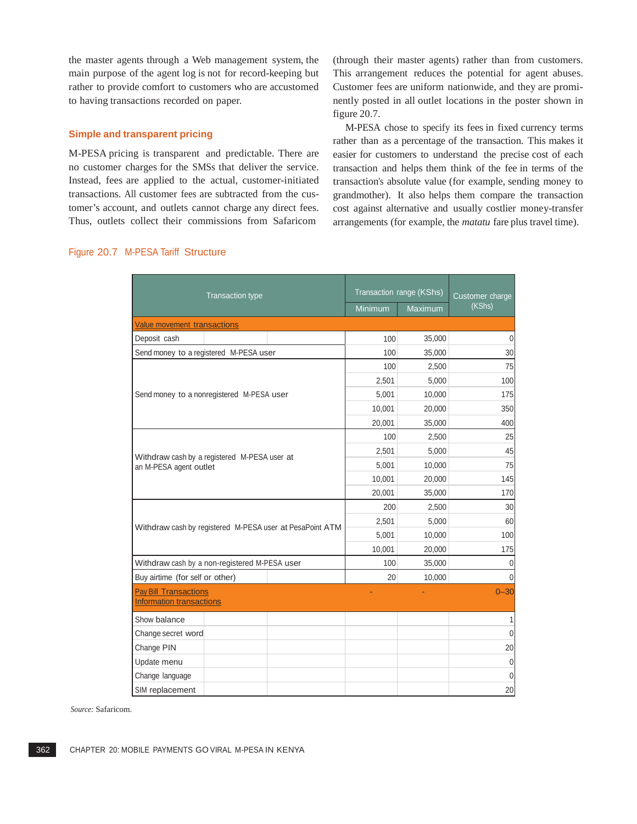the master agents through a Web management system, the main purpose of the agent log is not for record-keeping but rather to provide comfort to customers who are accustomed to having transactions recorded on paper.

#### **Simple and transparent pricing**

M-PESA pricing is transparent and predictable. There are no customer charges for the SMSs that deliver the service. Instead, fees are applied to the actual, customer-initiated transactions. All customer fees are subtracted from the customer's account, and outlets cannot charge any direct fees. Thus, outlets collect their commissions from Safaricom

(through their master agents) rather than from customers. This arrangement reduces the potential for agent abuses. Customer fees are uniform nationwide, and they are prominently posted in all outlet locations in the poster shown in figure 20.7.

M-PESA chose to specify its fees in fixed currency terms rather than as a percentage of the transaction. This makes it easier for customers to understand the precise cost of each transaction and helps them think of the fee in terms of the transaction's absolute value (for example, sending money to grandmother). It also helps them compare the transaction cost against alternative and usually costlier money-transfer arrangements (for example, the *matatu* fare plus travel time).

## Figure 20.7 M-PESA Tariff Structure

| <b>Transaction type</b>                                                     |  |  | Transaction range (KShs) |         | Customer charge |
|-----------------------------------------------------------------------------|--|--|--------------------------|---------|-----------------|
|                                                                             |  |  | <b>Minimum</b>           | Maximum | (KShs)          |
| <b>Value movement transactions</b>                                          |  |  |                          |         |                 |
| Deposit cash                                                                |  |  | 100                      | 35,000  | $\Omega$        |
| Send money to a registered M-PESA user                                      |  |  | 100                      | 35,000  | 30              |
| Send money to a nonregistered M-PESA user                                   |  |  | 100                      | 2,500   | 75              |
|                                                                             |  |  | 2,501                    | 5,000   | 100             |
|                                                                             |  |  | 5,001                    | 10,000  | 175             |
|                                                                             |  |  | 10,001                   | 20,000  | 350             |
|                                                                             |  |  | 20,001                   | 35,000  | 400             |
| Withdraw cash by a registered M-PESA user at<br>an M-PESA agent outlet      |  |  | 100                      | 2,500   | 25              |
|                                                                             |  |  | 2,501                    | 5,000   | 45              |
|                                                                             |  |  | 5,001                    | 10,000  | 75              |
|                                                                             |  |  | 10,001                   | 20,000  | 145             |
|                                                                             |  |  | 20,001                   | 35,000  | 170             |
| Withdraw cash by registered M-PESA user at PesaPoint ATM                    |  |  | 200                      | 2,500   | 30              |
|                                                                             |  |  | 2,501                    | 5,000   | 60              |
|                                                                             |  |  | 5,001                    | 10,000  | 100             |
|                                                                             |  |  | 10,001                   | 20,000  | 175             |
| Withdraw cash by a non-registered M-PESA user                               |  |  | 100                      | 35,000  | $\overline{0}$  |
| Buy airtime (for self or other)                                             |  |  | 20                       | 10,000  | $\overline{0}$  |
| <b>Pay Bill Transactions</b><br>$0 - 30$<br><b>Information transactions</b> |  |  |                          |         |                 |
| Show balance                                                                |  |  |                          |         | 1               |
| Change secret word                                                          |  |  |                          |         | $\overline{0}$  |
| Change PIN                                                                  |  |  |                          |         | 20              |
| Update menu                                                                 |  |  |                          |         | $\overline{0}$  |
| Change language                                                             |  |  |                          |         | $\Omega$        |
| SIM replacement                                                             |  |  |                          |         | 20              |

*Source:* Safaricom.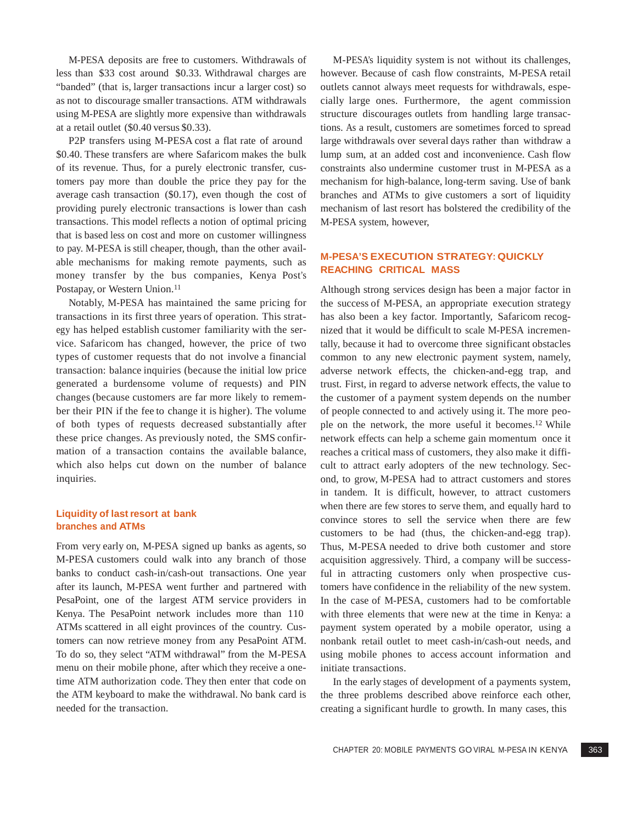M-PESA deposits are free to customers. Withdrawals of less than \$33 cost around \$0.33. Withdrawal charges are "banded" (that is, larger transactions incur a larger cost) so as not to discourage smaller transactions. ATM withdrawals using M-PESA are slightly more expensive than withdrawals at a retail outlet (\$0.40 versus \$0.33).

P2P transfers using M-PESA cost a flat rate of around \$0.40. These transfers are where Safaricom makes the bulk of its revenue. Thus, for a purely electronic transfer, customers pay more than double the price they pay for the average cash transaction (\$0.17), even though the cost of providing purely electronic transactions is lower than cash transactions. This model reflects a notion of optimal pricing that is based less on cost and more on customer willingness to pay. M-PESA is still cheaper, though, than the other available mechanisms for making remote payments, such as money transfer by the bus companies, Kenya Post's Postapay, or Western Union.<sup>11</sup>

Notably, M-PESA has maintained the same pricing for transactions in its first three years of operation. This strategy has helped establish customer familiarity with the service. Safaricom has changed, however, the price of two types of customer requests that do not involve a financial transaction: balance inquiries (because the initial low price generated a burdensome volume of requests) and PIN changes (because customers are far more likely to remember their PIN if the fee to change it is higher). The volume of both types of requests decreased substantially after these price changes. As previously noted, the SMS confirmation of a transaction contains the available balance, which also helps cut down on the number of balance inquiries.

## **Liquidity of last resort at bank branches and ATMs**

From very early on, M-PESA signed up banks as agents, so M-PESA customers could walk into any branch of those banks to conduct cash-in/cash-out transactions. One year after its launch, M-PESA went further and partnered with PesaPoint, one of the largest ATM service providers in Kenya. The PesaPoint network includes more than 110 ATMs scattered in all eight provinces of the country. Customers can now retrieve money from any PesaPoint ATM. To do so, they select "ATM withdrawal" from the M-PESA menu on their mobile phone, after which they receive a onetime ATM authorization code. They then enter that code on the ATM keyboard to make the withdrawal. No bank card is needed for the transaction.

M-PESA's liquidity system is not without its challenges, however. Because of cash flow constraints, M-PESA retail outlets cannot always meet requests for withdrawals, especially large ones. Furthermore, the agent commission structure discourages outlets from handling large transactions. As a result, customers are sometimes forced to spread large withdrawals over several days rather than withdraw a lump sum, at an added cost and inconvenience. Cash flow constraints also undermine customer trust in M-PESA as a mechanism for high-balance, long-term saving. Use of bank branches and ATMs to give customers a sort of liquidity mechanism of last resort has bolstered the credibility of the M-PESA system, however,

## **M-PESA'S EXECUTION STRATEGY: QUICKLY REACHING CRITICAL MASS**

Although strong services design has been a major factor in the success of M-PESA, an appropriate execution strategy has also been a key factor. Importantly, Safaricom recognized that it would be difficult to scale M-PESA incrementally, because it had to overcome three significant obstacles common to any new electronic payment system, namely, adverse network effects, the chicken-and-egg trap, and trust. First, in regard to adverse network effects, the value to the customer of a payment system depends on the number of people connected to and actively using it. The more people on the network, the more useful it becomes.12 While network effects can help a scheme gain momentum once it reaches a critical mass of customers, they also make it difficult to attract early adopters of the new technology. Second, to grow, M-PESA had to attract customers and stores in tandem. It is difficult, however, to attract customers when there are few stores to serve them, and equally hard to convince stores to sell the service when there are few customers to be had (thus, the chicken-and-egg trap). Thus, M-PESA needed to drive both customer and store acquisition aggressively. Third, a company will be successful in attracting customers only when prospective customers have confidence in the reliability of the new system. In the case of M-PESA, customers had to be comfortable with three elements that were new at the time in Kenya: a payment system operated by a mobile operator, using a nonbank retail outlet to meet cash-in/cash-out needs, and using mobile phones to access account information and initiate transactions.

In the early stages of development of a payments system, the three problems described above reinforce each other, creating a significant hurdle to growth. In many cases, this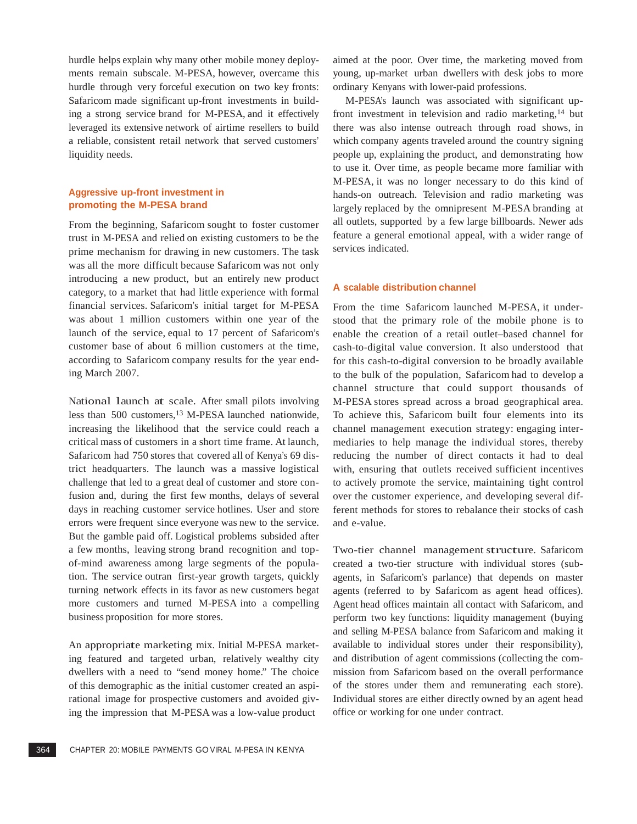hurdle helps explain why many other mobile money deployments remain subscale. M-PESA, however, overcame this hurdle through very forceful execution on two key fronts: Safaricom made significant up-front investments in building a strong service brand for M-PESA, and it effectively leveraged its extensive network of airtime resellers to build a reliable, consistent retail network that served customers' liquidity needs.

## **Aggressive up-front investment in promoting the M-PESA brand**

From the beginning, Safaricom sought to foster customer trust in M-PESA and relied on existing customers to be the prime mechanism for drawing in new customers. The task was all the more difficult because Safaricom was not only introducing a new product, but an entirely new product category, to a market that had little experience with formal financial services. Safaricom's initial target for M-PESA was about 1 million customers within one year of the launch of the service, equal to 17 percent of Safaricom's customer base of about 6 million customers at the time, according to Safaricom company results for the year ending March 2007.

National launch at scale. After small pilots involving less than 500 customers,13 M-PESA launched nationwide, increasing the likelihood that the service could reach a critical mass of customers in a short time frame. At launch, Safaricom had 750 stores that covered all of Kenya's 69 district headquarters. The launch was a massive logistical challenge that led to a great deal of customer and store confusion and, during the first few months, delays of several days in reaching customer service hotlines. User and store errors were frequent since everyone was new to the service. But the gamble paid off. Logistical problems subsided after a few months, leaving strong brand recognition and topof-mind awareness among large segments of the population. The service outran first-year growth targets, quickly turning network effects in its favor as new customers begat more customers and turned M-PESA into a compelling business proposition for more stores.

An appropriate marketing mix. Initial M-PESA marketing featured and targeted urban, relatively wealthy city dwellers with a need to "send money home." The choice of this demographic as the initial customer created an aspirational image for prospective customers and avoided giving the impression that M-PESA was a low-value product

aimed at the poor. Over time, the marketing moved from young, up-market urban dwellers with desk jobs to more ordinary Kenyans with lower-paid professions.

M-PESA's launch was associated with significant upfront investment in television and radio marketing, 14 but there was also intense outreach through road shows, in which company agents traveled around the country signing people up, explaining the product, and demonstrating how to use it. Over time, as people became more familiar with M-PESA, it was no longer necessary to do this kind of hands-on outreach. Television and radio marketing was largely replaced by the omnipresent M-PESA branding at all outlets, supported by a few large billboards. Newer ads feature a general emotional appeal, with a wider range of services indicated.

## **A scalable distribution channel**

From the time Safaricom launched M-PESA, it understood that the primary role of the mobile phone is to enable the creation of a retail outlet–based channel for cash-to-digital value conversion. It also understood that for this cash-to-digital conversion to be broadly available to the bulk of the population, Safaricom had to develop a channel structure that could support thousands of M-PESA stores spread across a broad geographical area. To achieve this, Safaricom built four elements into its channel management execution strategy: engaging intermediaries to help manage the individual stores, thereby reducing the number of direct contacts it had to deal with, ensuring that outlets received sufficient incentives to actively promote the service, maintaining tight control over the customer experience, and developing several different methods for stores to rebalance their stocks of cash and e-value.

Two-tier channel management structure. Safaricom created a two-tier structure with individual stores (subagents, in Safaricom's parlance) that depends on master agents (referred to by Safaricom as agent head offices). Agent head offices maintain all contact with Safaricom, and perform two key functions: liquidity management (buying and selling M-PESA balance from Safaricom and making it available to individual stores under their responsibility), and distribution of agent commissions (collecting the commission from Safaricom based on the overall performance of the stores under them and remunerating each store). Individual stores are either directly owned by an agent head office or working for one under contract.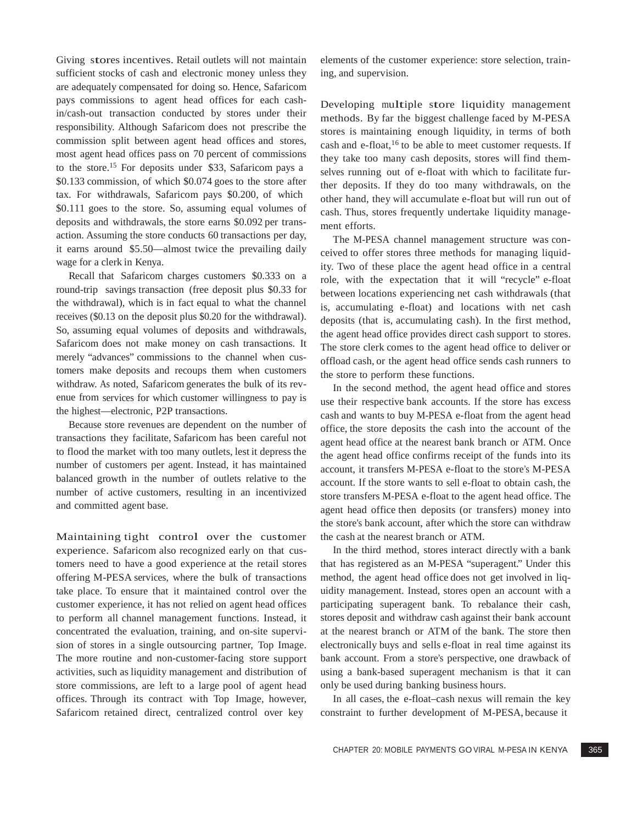Giving stores incentives. Retail outlets will not maintain sufficient stocks of cash and electronic money unless they are adequately compensated for doing so. Hence, Safaricom pays commissions to agent head offices for each cashin/cash-out transaction conducted by stores under their responsibility. Although Safaricom does not prescribe the commission split between agent head offices and stores, most agent head offices pass on 70 percent of commissions to the store.15 For deposits under \$33, Safaricom pays a \$0.133 commission, of which \$0.074 goes to the store after tax. For withdrawals, Safaricom pays \$0.200, of which \$0.111 goes to the store. So, assuming equal volumes of deposits and withdrawals, the store earns \$0.092 per transaction. Assuming the store conducts 60 transactions per day, it earns around \$5.50—almost twice the prevailing daily wage for a clerk in Kenya.

Recall that Safaricom charges customers \$0.333 on a round-trip savings transaction (free deposit plus \$0.33 for the withdrawal), which is in fact equal to what the channel receives (\$0.13 on the deposit plus \$0.20 for the withdrawal). So, assuming equal volumes of deposits and withdrawals, Safaricom does not make money on cash transactions. It merely "advances" commissions to the channel when customers make deposits and recoups them when customers withdraw. As noted, Safaricom generates the bulk of its revenue from services for which customer willingness to pay is the highest—electronic, P2P transactions.

Because store revenues are dependent on the number of transactions they facilitate, Safaricom has been careful not to flood the market with too many outlets, lest it depress the number of customers per agent. Instead, it has maintained balanced growth in the number of outlets relative to the number of active customers, resulting in an incentivized and committed agent base.

Maintaining tight control over the customer experience. Safaricom also recognized early on that customers need to have a good experience at the retail stores offering M-PESA services, where the bulk of transactions take place. To ensure that it maintained control over the customer experience, it has not relied on agent head offices to perform all channel management functions. Instead, it concentrated the evaluation, training, and on-site supervision of stores in a single outsourcing partner, Top Image. The more routine and non-customer-facing store support activities, such as liquidity management and distribution of store commissions, are left to a large pool of agent head offices. Through its contract with Top Image, however, Safaricom retained direct, centralized control over key

elements of the customer experience: store selection, training, and supervision.

Developing multiple store liquidity management methods. By far the biggest challenge faced by M-PESA stores is maintaining enough liquidity, in terms of both cash and e-float,  $16$  to be able to meet customer requests. If they take too many cash deposits, stores will find themselves running out of e-float with which to facilitate further deposits. If they do too many withdrawals, on the other hand, they will accumulate e-float but will run out of cash. Thus, stores frequently undertake liquidity management efforts.

The M-PESA channel management structure was conceived to offer stores three methods for managing liquidity. Two of these place the agent head office in a central role, with the expectation that it will "recycle" e-float between locations experiencing net cash withdrawals (that is, accumulating e-float) and locations with net cash deposits (that is, accumulating cash). In the first method, the agent head office provides direct cash support to stores. The store clerk comes to the agent head office to deliver or offload cash, or the agent head office sends cash runners to the store to perform these functions.

In the second method, the agent head office and stores use their respective bank accounts. If the store has excess cash and wants to buy M-PESA e-float from the agent head office, the store deposits the cash into the account of the agent head office at the nearest bank branch or ATM. Once the agent head office confirms receipt of the funds into its account, it transfers M-PESA e-float to the store's M-PESA account. If the store wants to sell e-float to obtain cash, the store transfers M-PESA e-float to the agent head office. The agent head office then deposits (or transfers) money into the store's bank account, after which the store can withdraw the cash at the nearest branch or ATM.

In the third method, stores interact directly with a bank that has registered as an M-PESA "superagent." Under this method, the agent head office does not get involved in liquidity management. Instead, stores open an account with a participating superagent bank. To rebalance their cash, stores deposit and withdraw cash against their bank account at the nearest branch or ATM of the bank. The store then electronically buys and sells e-float in real time against its bank account. From a store's perspective, one drawback of using a bank-based superagent mechanism is that it can only be used during banking business hours.

In all cases, the e-float–cash nexus will remain the key constraint to further development of M-PESA, because it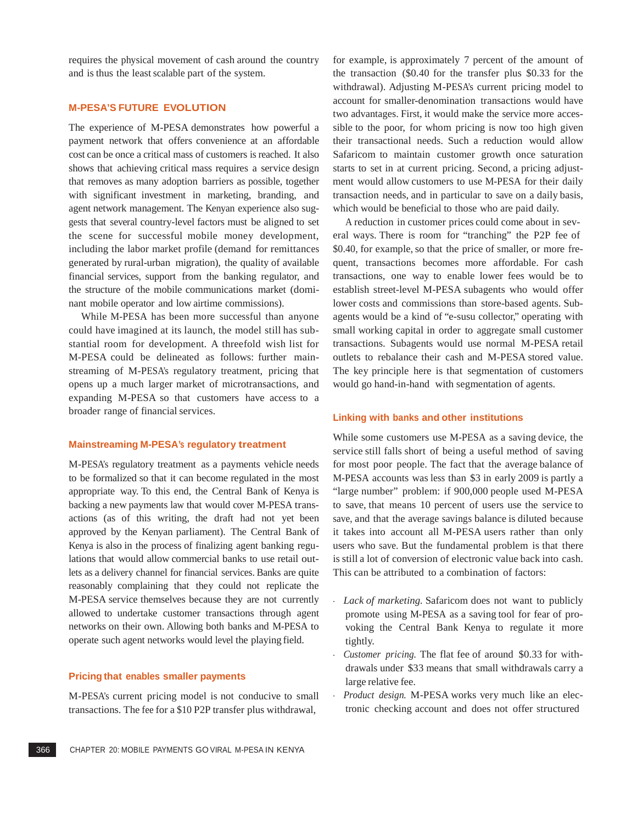requires the physical movement of cash around the country and is thus the least scalable part of the system.

## **M-PESA'S FUTURE EVOLUTION**

The experience of M-PESA demonstrates how powerful a payment network that offers convenience at an affordable cost can be once a critical mass of customers is reached. It also shows that achieving critical mass requires a service design that removes as many adoption barriers as possible, together with significant investment in marketing, branding, and agent network management. The Kenyan experience also suggests that several country-level factors must be aligned to set the scene for successful mobile money development, including the labor market profile (demand for remittances generated by rural-urban migration), the quality of available financial services, support from the banking regulator, and the structure of the mobile communications market (dominant mobile operator and low airtime commissions).

While M-PESA has been more successful than anyone could have imagined at its launch, the model still has substantial room for development. A threefold wish list for M-PESA could be delineated as follows: further mainstreaming of M-PESA's regulatory treatment, pricing that opens up a much larger market of microtransactions, and expanding M-PESA so that customers have access to a broader range of financial services.

## **Mainstreaming M-PESA's regulatory treatment**

M-PESA's regulatory treatment as a payments vehicle needs to be formalized so that it can become regulated in the most appropriate way. To this end, the Central Bank of Kenya is backing a new payments law that would cover M-PESA transactions (as of this writing, the draft had not yet been approved by the Kenyan parliament). The Central Bank of Kenya is also in the process of finalizing agent banking regulations that would allow commercial banks to use retail outlets as a delivery channel for financial services. Banks are quite reasonably complaining that they could not replicate the M-PESA service themselves because they are not currently allowed to undertake customer transactions through agent networks on their own. Allowing both banks and M-PESA to operate such agent networks would level the playing field.

#### **Pricing that enables smaller payments**

M-PESA's current pricing model is not conducive to small transactions. The fee for a \$10 P2P transfer plus withdrawal,

for example, is approximately 7 percent of the amount of the transaction (\$0.40 for the transfer plus \$0.33 for the withdrawal). Adjusting M-PESA's current pricing model to account for smaller-denomination transactions would have two advantages. First, it would make the service more accessible to the poor, for whom pricing is now too high given their transactional needs. Such a reduction would allow Safaricom to maintain customer growth once saturation starts to set in at current pricing. Second, a pricing adjustment would allow customers to use M-PESA for their daily transaction needs, and in particular to save on a daily basis, which would be beneficial to those who are paid daily.

A reduction in customer prices could come about in several ways. There is room for "tranching" the P2P fee of \$0.40, for example, so that the price of smaller, or more frequent, transactions becomes more affordable. For cash transactions, one way to enable lower fees would be to establish street-level M-PESA subagents who would offer lower costs and commissions than store-based agents. Subagents would be a kind of "e-susu collector," operating with small working capital in order to aggregate small customer transactions. Subagents would use normal M-PESA retail outlets to rebalance their cash and M-PESA stored value. The key principle here is that segmentation of customers would go hand-in-hand with segmentation of agents.

#### **Linking with banks and other institutions**

While some customers use M-PESA as a saving device, the service still falls short of being a useful method of saving for most poor people. The fact that the average balance of M-PESA accounts was less than \$3 in early 2009 is partly a "large number" problem: if 900,000 people used M-PESA to save, that means 10 percent of users use the service to save, and that the average savings balance is diluted because it takes into account all M-PESA users rather than only users who save. But the fundamental problem is that there is still a lot of conversion of electronic value back into cash. This can be attributed to a combination of factors:

- *Lack of marketing.* Safaricom does not want to publicly promote using M-PESA as a saving tool for fear of provoking the Central Bank Kenya to regulate it more tightly.
- *Customer pricing.* The flat fee of around \$0.33 for withdrawals under \$33 means that small withdrawals carry a large relative fee.
- *Product design.* M-PESA works very much like an electronic checking account and does not offer structured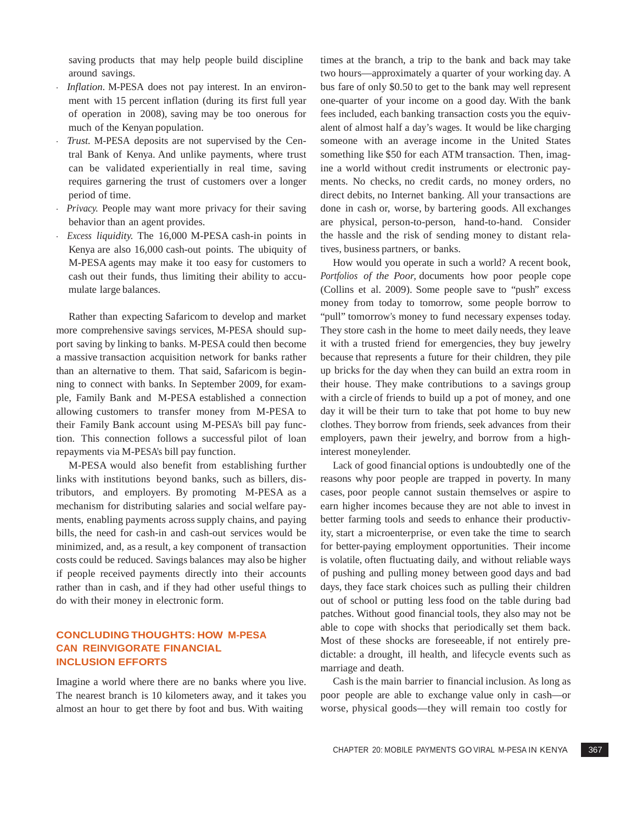saving products that may help people build discipline around savings.

- *Inflation.* M-PESA does not pay interest. In an environment with 15 percent inflation (during its first full year of operation in 2008), saving may be too onerous for much of the Kenyan population.
- *Trust.* M-PESA deposits are not supervised by the Central Bank of Kenya. And unlike payments, where trust can be validated experientially in real time, saving requires garnering the trust of customers over a longer period of time.
- *Privacy.* People may want more privacy for their saving behavior than an agent provides.
- *Excess liquidity.* The 16,000 M-PESA cash-in points in Kenya are also 16,000 cash-out points. The ubiquity of M-PESA agents may make it too easy for customers to cash out their funds, thus limiting their ability to accumulate large balances.

Rather than expecting Safaricom to develop and market more comprehensive savings services, M-PESA should support saving by linking to banks. M-PESA could then become a massive transaction acquisition network for banks rather than an alternative to them. That said, Safaricom is beginning to connect with banks. In September 2009, for example, Family Bank and M-PESA established a connection allowing customers to transfer money from M-PESA to their Family Bank account using M-PESA's bill pay function. This connection follows a successful pilot of loan repayments via M-PESA's bill pay function.

M-PESA would also benefit from establishing further links with institutions beyond banks, such as billers, distributors, and employers. By promoting M-PESA as a mechanism for distributing salaries and social welfare payments, enabling payments across supply chains, and paying bills, the need for cash-in and cash-out services would be minimized, and, as a result, a key component of transaction costs could be reduced. Savings balances may also be higher if people received payments directly into their accounts rather than in cash, and if they had other useful things to do with their money in electronic form.

## **CONCLUDING THOUGHTS: HOW M-PESA CAN REINVIGORATE FINANCIAL INCLUSION EFFORTS**

Imagine a world where there are no banks where you live. The nearest branch is 10 kilometers away, and it takes you almost an hour to get there by foot and bus. With waiting

times at the branch, a trip to the bank and back may take two hours—approximately a quarter of your working day. A bus fare of only \$0.50 to get to the bank may well represent one-quarter of your income on a good day. With the bank fees included, each banking transaction costs you the equivalent of almost half a day's wages. It would be like charging someone with an average income in the United States something like \$50 for each ATM transaction. Then, imagine a world without credit instruments or electronic payments. No checks, no credit cards, no money orders, no direct debits, no Internet banking. All your transactions are done in cash or, worse, by bartering goods. All exchanges are physical, person-to-person, hand-to-hand. Consider the hassle and the risk of sending money to distant relatives, business partners, or banks.

How would you operate in such a world? A recent book, *Portfolios of the Poor,* documents how poor people cope (Collins et al. 2009). Some people save to "push" excess money from today to tomorrow, some people borrow to "pull" tomorrow's money to fund necessary expenses today. They store cash in the home to meet daily needs, they leave it with a trusted friend for emergencies, they buy jewelry because that represents a future for their children, they pile up bricks for the day when they can build an extra room in their house. They make contributions to a savings group with a circle of friends to build up a pot of money, and one day it will be their turn to take that pot home to buy new clothes. They borrow from friends, seek advances from their employers, pawn their jewelry, and borrow from a highinterest moneylender.

Lack of good financial options is undoubtedly one of the reasons why poor people are trapped in poverty. In many cases, poor people cannot sustain themselves or aspire to earn higher incomes because they are not able to invest in better farming tools and seeds to enhance their productivity, start a microenterprise, or even take the time to search for better-paying employment opportunities. Their income is volatile, often fluctuating daily, and without reliable ways of pushing and pulling money between good days and bad days, they face stark choices such as pulling their children out of school or putting less food on the table during bad patches. Without good financial tools, they also may not be able to cope with shocks that periodically set them back. Most of these shocks are foreseeable, if not entirely predictable: a drought, ill health, and lifecycle events such as marriage and death.

Cash is the main barrier to financial inclusion. As long as poor people are able to exchange value only in cash—or worse, physical goods—they will remain too costly for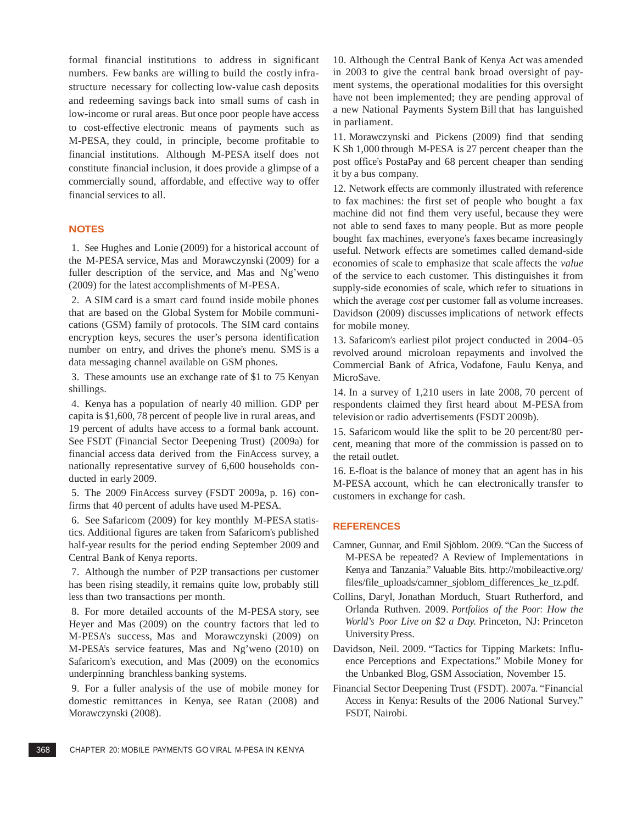formal financial institutions to address in significant numbers. Few banks are willing to build the costly infrastructure necessary for collecting low-value cash deposits and redeeming savings back into small sums of cash in low-income or rural areas. But once poor people have access to cost-effective electronic means of payments such as M-PESA, they could, in principle, become profitable to financial institutions. Although M-PESA itself does not constitute financial inclusion, it does provide a glimpse of a commercially sound, affordable, and effective way to offer financial services to all.

## **NOTES**

1. See Hughes and Lonie (2009) for a historical account of the M-PESA service, Mas and Morawczynski (2009) for a fuller description of the service, and Mas and Ng'weno (2009) for the latest accomplishments of M-PESA.

2. A SIM card is a smart card found inside mobile phones that are based on the Global System for Mobile communications (GSM) family of protocols. The SIM card contains encryption keys, secures the user's persona identification number on entry, and drives the phone's menu. SMS is a data messaging channel available on GSM phones.

3. These amounts use an exchange rate of \$1 to 75 Kenyan shillings.

4. Kenya has a population of nearly 40 million. GDP per capita is \$1,600, 78 percent of people live in rural areas, and 19 percent of adults have access to a formal bank account. See FSDT (Financial Sector Deepening Trust) (2009a) for financial access data derived from the FinAccess survey, a nationally representative survey of 6,600 households conducted in early 2009.

5. The 2009 FinAccess survey (FSDT 2009a, p. 16) confirms that 40 percent of adults have used M-PESA.

6. See Safaricom (2009) for key monthly M-PESA statistics. Additional figures are taken from Safaricom's published half-year results for the period ending September 2009 and Central Bank of Kenya reports.

7. Although the number of P2P transactions per customer has been rising steadily, it remains quite low, probably still less than two transactions per month.

8. For more detailed accounts of the M-PESA story, see Heyer and Mas (2009) on the country factors that led to M-PESA's success, Mas and Morawczynski (2009) on M-PESA's service features, Mas and Ng'weno (2010) on Safaricom's execution, and Mas (2009) on the economics underpinning branchless banking systems.

9. For a fuller analysis of the use of mobile money for domestic remittances in Kenya, see Ratan (2008) and Morawczynski (2008).

10. Although the Central Bank of Kenya Act was amended in 2003 to give the central bank broad oversight of payment systems, the operational modalities for this oversight have not been implemented; they are pending approval of a new National Payments System Bill that has languished in parliament.

11. Morawczynski and Pickens (2009) find that sending K Sh 1,000 through M-PESA is 27 percent cheaper than the post office's PostaPay and 68 percent cheaper than sending it by a bus company.

12. Network effects are commonly illustrated with reference to fax machines: the first set of people who bought a fax machine did not find them very useful, because they were not able to send faxes to many people. But as more people bought fax machines, everyone's faxes became increasingly useful. Network effects are sometimes called demand-side economies of scale to emphasize that scale affects the *value*  of the service to each customer. This distinguishes it from supply-side economies of scale, which refer to situations in which the average *cost* per customer fall as volume increases. Davidson (2009) discusses implications of network effects for mobile money.

13. Safaricom's earliest pilot project conducted in 2004–05 revolved around microloan repayments and involved the Commercial Bank of Africa, Vodafone, Faulu Kenya, and MicroSave.

14. In a survey of 1,210 users in late 2008, 70 percent of respondents claimed they first heard about M-PESA from television or radio advertisements (FSDT 2009b).

15. Safaricom would like the split to be 20 percent/80 percent, meaning that more of the commission is passed on to the retail outlet.

16. E-float is the balance of money that an agent has in his M-PESA account, which he can electronically transfer to customers in exchange for cash.

#### **REFERENCES**

- Camner, Gunnar, and Emil Sjöblom. 2009. "Can the Success of M-PESA be repeated? A Review of Implementations in Kenya and Tanzania." Valuable Bits. <http://mobileactive.org/> files/file\_uploads/camner\_sjoblom\_differences\_ke\_tz.pdf.
- Collins, Daryl, Jonathan Morduch, Stuart Rutherford, and Orlanda Ruthven. 2009. *Portfolios of the Poor: How the World's Poor Live on \$2 a Day.* Princeton, NJ: Princeton University Press.
- Davidson, Neil. 2009. "Tactics for Tipping Markets: Influence Perceptions and Expectations." Mobile Money for the Unbanked Blog, GSM Association, November 15.
- Financial Sector Deepening Trust (FSDT). 2007a. "Financial Access in Kenya: Results of the 2006 National Survey." FSDT, Nairobi.